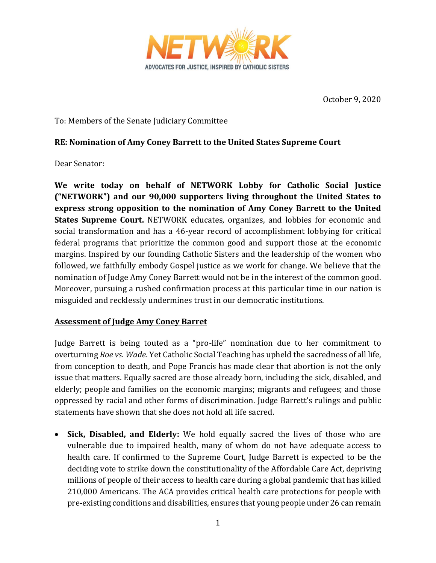

October 9, 2020

To: Members of the Senate Judiciary Committee

## **RE: Nomination of Amy Coney Barrett to the United States Supreme Court**

Dear Senator:

**We write today on behalf of NETWORK Lobby for Catholic Social Justice ("NETWORK") and our 90,000 supporters living throughout the United States to express strong opposition to the nomination of Amy Coney Barrett to the United States Supreme Court.** NETWORK educates, organizes, and lobbies for economic and social transformation and has a 46-year record of accomplishment lobbying for critical federal programs that prioritize the common good and support those at the economic margins. Inspired by our founding Catholic Sisters and the leadership of the women who followed, we faithfully embody Gospel justice as we work for change. We believe that the nomination of Judge Amy Coney Barrett would not be in the interest of the common good. Moreover, pursuing a rushed confirmation process at this particular time in our nation is misguided and recklessly undermines trust in our democratic institutions.

## **Assessment of Judge Amy Coney Barret**

Judge Barrett is being touted as a "pro-life" nomination due to her commitment to overturning *Roe vs. Wade*. Yet Catholic Social Teaching has upheld the sacredness of all life, from conception to death, and Pope Francis has made clear that abortion is not the only issue that matters. Equally sacred are those already born, including the sick, disabled, and elderly; people and families on the economic margins; migrants and refugees; and those oppressed by racial and other forms of discrimination. Judge Barrett's rulings and public statements have shown that she does not hold all life sacred.

 **Sick, Disabled, and Elderly:** We hold equally sacred the lives of those who are vulnerable due to impaired health, many of whom do not have adequate access to health care. If confirmed to the Supreme Court, Judge Barrett is expected to be the deciding vote to strike down the constitutionality of the Affordable Care Act, depriving millions of people of their access to health care during a global pandemic that has killed 210,000 Americans. The ACA provides critical health care protections for people with pre-existing conditions and disabilities, ensures that young people under 26 can remain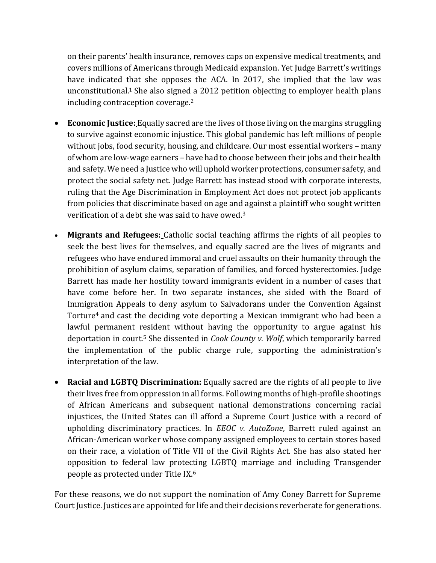on their parents' health insurance, removes caps on expensive medical treatments, and covers millions of Americans through Medicaid expansion. Yet Judge Barrett's writings have indicated that she opposes the ACA. In 2017, she implied that the law was unconstitutional. <sup>1</sup> She also signed a 2012 petition objecting to employer health plans including contraception coverage.<sup>2</sup>

- **Economic Justice:** Equally sacred are the lives of those living on the margins struggling to survive against economic injustice. This global pandemic has left millions of people without jobs, food security, housing, and childcare. Our most essential workers – many of whom are low-wage earners – have had to choose between their jobs and their health and safety. We need a Justice who will uphold worker protections, consumer safety, and protect the social safety net. Judge Barrett has instead stood with corporate interests, ruling that the Age Discrimination in Employment Act does not protect job applicants from policies that discriminate based on age and against a plaintiff who sought written verification of a debt she was said to have owed.<sup>3</sup>
- **Migrants and Refugees:** Catholic social teaching affirms the rights of all peoples to seek the best lives for themselves, and equally sacred are the lives of migrants and refugees who have endured immoral and cruel assaults on their humanity through the prohibition of asylum claims, separation of families, and forced hysterectomies. Judge Barrett has made her hostility toward immigrants evident in a number of cases that have come before her. In two separate instances, she sided with the Board of Immigration Appeals to deny asylum to Salvadorans under the Convention Against Torture<sup>4</sup> and cast the deciding vote deporting a Mexican immigrant who had been a lawful permanent resident without having the opportunity to argue against his deportation in court.<sup>5</sup> She dissented in *Cook County v. Wolf*, which temporarily barred the implementation of the public charge rule, supporting the administration's interpretation of the law.
- **Racial and LGBTQ Discrimination:** Equally sacred are the rights of all people to live their lives free from oppression in all forms. Following months of high-profile shootings of African Americans and subsequent national demonstrations concerning racial injustices, the United States can ill afford a Supreme Court Justice with a record of upholding discriminatory practices. In *EEOC v. AutoZone*, Barrett ruled against an African-American worker whose company assigned employees to certain stores based on their race, a violation of Title VII of the Civil Rights Act. She has also stated her opposition to federal law protecting LGBTQ marriage and including Transgender people as protected under Title IX.<sup>6</sup>

For these reasons, we do not support the nomination of Amy Coney Barrett for Supreme Court Justice. Justices are appointed for life and their decisions reverberate for generations.